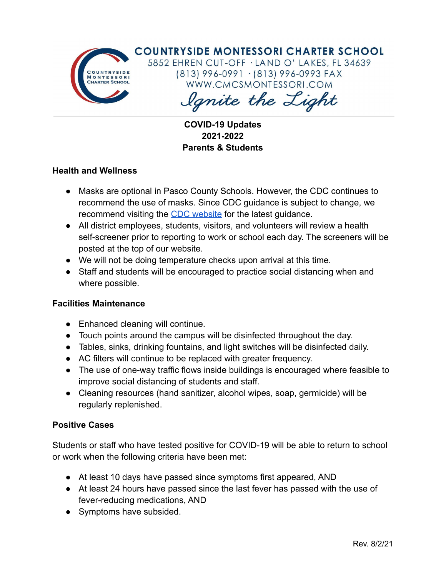

# **COUNTRYSIDE MONTESSORI CHARTER SCHOOL**

5852 EHREN CUT-OFF · LAND O' LAKES, FL 34639 (813) 996-0991 · (813) 996-0993 FAX WWW.CMCSMONTESSORI.COM

Ignite the Light

**COVID-19 Updates 2021-2022 Parents & Students**

#### **Health and Wellness**

- Masks are optional in Pasco County Schools. However, the CDC continues to recommend the use of masks. Since CDC guidance is subject to change, we recommend visiting the [CDC website](https://www.cdc.gov/coronavirus/2019-ncov/vaccines/fully-vaccinated-guidance.html) for the latest guidance.
- All district employees, students, visitors, and volunteers will review a health self-screener prior to reporting to work or school each day. The screeners will be posted at the top of our website.
- We will not be doing temperature checks upon arrival at this time.
- Staff and students will be encouraged to practice social distancing when and where possible.

#### **Facilities Maintenance**

- Enhanced cleaning will continue.
- Touch points around the campus will be disinfected throughout the day.
- Tables, sinks, drinking fountains, and light switches will be disinfected daily.
- AC filters will continue to be replaced with greater frequency.
- The use of one-way traffic flows inside buildings is encouraged where feasible to improve social distancing of students and staff.
- Cleaning resources (hand sanitizer, alcohol wipes, soap, germicide) will be regularly replenished.

#### **Positive Cases**

Students or staff who have tested positive for COVID-19 will be able to return to school or work when the following criteria have been met:

- At least 10 days have passed since symptoms first appeared, AND
- At least 24 hours have passed since the last fever has passed with the use of fever-reducing medications, AND
- Symptoms have subsided.